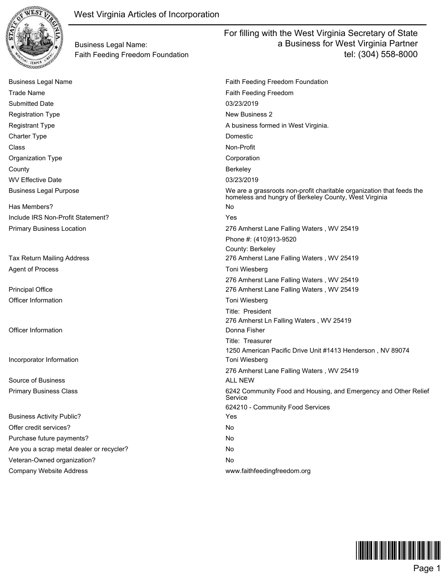

Business Legal Name: Faith Feeding Freedom Foundation

Business Legal Name **Faith Feeding Freedom Foundation** Faith Feeding Freedom Foundation Trade Name **Faith Feeding Freedom** Faith Feeding Freedom Submitted Date 03/23/2019 Registration Type New Business 2 Registrant Type A business formed in West Virginia. Charter Type **Domestic** Class **Non-Profit** Organization Type **Community** Corporation County Berkeley WV Effective Date 2008 2012 12:00 12:00 13:00 13:00 13:00 13:00 13:00 13:00 13:00 13:00 13:00 13:00 13:00 13:00 13:00 13:00 13:00 13:00 13:00 13:00 13:00 13:00 13:00 13:00 13:00 13:00 13:00 13:00 13:00 13:00 13:00 13:00 13 Business Legal Purpose We are a grassroots non-profit charitable organization that feeds the homeless and hungry of Berkeley County, West Virginia Has Members? No Include IRS Non-Profit Statement? Yes Primary Business Location 276 Amherst Lane Falling Waters , WV 25419 Phone #: (410)913-9520 County: Berkeley Tax Return Mailing Address 276 Amherst Lane Falling Waters , WV 25419 Agent of Process Tomi Wiesberg Toni Wiesberg Tomi Wiesberg Tomi Wiesberg 276 Amherst Lane Falling Waters , WV 25419 Principal Office 276 Amherst Lane Falling Waters , WV 25419 Officer Information **Tomi Wiesberg Tomi Wiesberg Tomi Wiesberg** Title: President 276 Amherst Ln Falling Waters , WV 25419 **Officer Information** Donna Fisher **Donna Fisher** Donna Fisher Title: Treasurer 1250 American Pacific Drive Unit #1413 Henderson , NV 89074 **Incorporator Information** Toni Wiesberg 276 Amherst Lane Falling Waters , WV 25419 Source of Business ALL NEW Source of Business ALL NEW AREA ALL NEW AREA AND THE SAME OF THE SAME OF THE SAME O Primary Business Class 6242 Community Food and Housing, and Emergency and Other Relief Service 624210 - Community Food Services Business Activity Public? The Contract of the Contract of the Vest of the Vest of the Vest of the Vest of the Vest of the Vest of the Vest of the Vest of the Vest of the Vest of the Vest of the Vest of the Vest of the Vest Offer credit services? No Purchase future payments? No Are you a scrap metal dealer or recycler? No was a scrap who Veteran-Owned organization? No was a series of the No Company Website Address www.faithfeedingfreedom.org

For filling with the West Virginia Secretary of State

a Business for West Virginia Partner

tel: (304) 558-8000

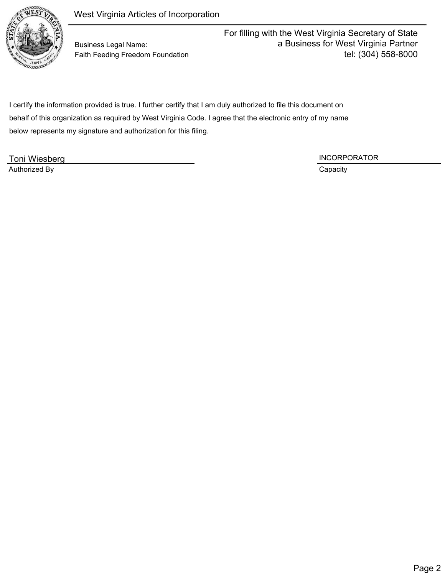

Business Legal Name: Faith Feeding Freedom Foundation For filling with the West Virginia Secretary of State a Business for West Virginia Partner tel: (304) 558-8000

 I certify the information provided is true. I further certify that I am duly authorized to file this document on behalf of this organization as required by West Virginia Code. I agree that the electronic entry of my name below represents my signature and authorization for this filing.

Toni Wiesberg **INCORPORATOR** Authorized By Capacity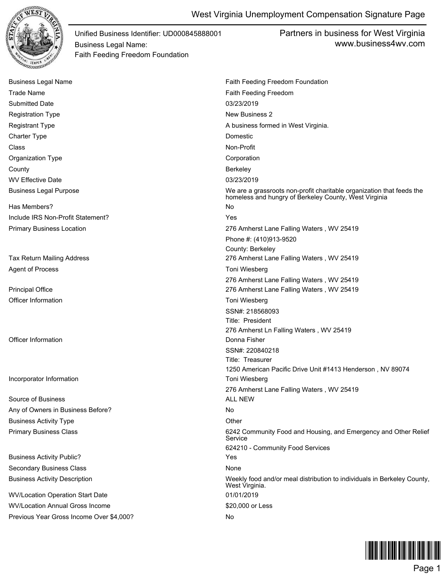

Partners in business for West Virginia www.business4wv.com

| <b>Business Legal Name</b>               | Faith Feeding Freedom Foundation                                                                                               |
|------------------------------------------|--------------------------------------------------------------------------------------------------------------------------------|
| <b>Trade Name</b>                        | Faith Feeding Freedom                                                                                                          |
| <b>Submitted Date</b>                    | 03/23/2019                                                                                                                     |
| <b>Registration Type</b>                 | New Business 2                                                                                                                 |
| <b>Registrant Type</b>                   | A business formed in West Virginia.                                                                                            |
| <b>Charter Type</b>                      | Domestic                                                                                                                       |
| Class                                    | Non-Profit                                                                                                                     |
| Organization Type                        | Corporation                                                                                                                    |
| County                                   | Berkeley                                                                                                                       |
| <b>WV Effective Date</b>                 | 03/23/2019                                                                                                                     |
| <b>Business Legal Purpose</b>            | We are a grassroots non-profit charitable organization that feeds the<br>homeless and hungry of Berkeley County, West Virginia |
| Has Members?                             | No                                                                                                                             |
| Include IRS Non-Profit Statement?        | Yes                                                                                                                            |
| <b>Primary Business Location</b>         | 276 Amherst Lane Falling Waters, WV 25419                                                                                      |
|                                          | Phone #: (410)913-9520                                                                                                         |
|                                          | County: Berkeley                                                                                                               |
| Tax Return Mailing Address               | 276 Amherst Lane Falling Waters, WV 25419                                                                                      |
| <b>Agent of Process</b>                  | Toni Wiesberg                                                                                                                  |
|                                          | 276 Amherst Lane Falling Waters, WV 25419                                                                                      |
| <b>Principal Office</b>                  | 276 Amherst Lane Falling Waters, WV 25419                                                                                      |
| Officer Information                      | Toni Wiesberg                                                                                                                  |
|                                          | SSN#: 218568093                                                                                                                |
|                                          | Title: President                                                                                                               |
| <b>Officer Information</b>               | 276 Amherst Ln Falling Waters, WV 25419<br>Donna Fisher                                                                        |
|                                          | SSN#: 220840218                                                                                                                |
|                                          | Title: Treasurer                                                                                                               |
|                                          | 1250 American Pacific Drive Unit #1413 Henderson, NV 89074                                                                     |
| Incorporator Information                 | Toni Wiesberg                                                                                                                  |
|                                          | 276 Amherst Lane Falling Waters, WV 25419                                                                                      |
| Source of Business                       | <b>ALL NEW</b>                                                                                                                 |
| Any of Owners in Business Before?        | No                                                                                                                             |
| <b>Business Activity Type</b>            | Other                                                                                                                          |
| <b>Primary Business Class</b>            | 6242 Community Food and Housing, and Emergency and Other Relief<br>Service                                                     |
|                                          | 624210 - Community Food Services                                                                                               |
| <b>Business Activity Public?</b>         | Yes                                                                                                                            |
| <b>Secondary Business Class</b>          | None                                                                                                                           |
| <b>Business Activity Description</b>     | Weekly food and/or meal distribution to individuals in Berkeley County,<br>West Virginia.                                      |
| <b>WV/Location Operation Start Date</b>  | 01/01/2019                                                                                                                     |
| <b>WV/Location Annual Gross Income</b>   | \$20,000 or Less                                                                                                               |
| Previous Year Gross Income Over \$4,000? | No.                                                                                                                            |

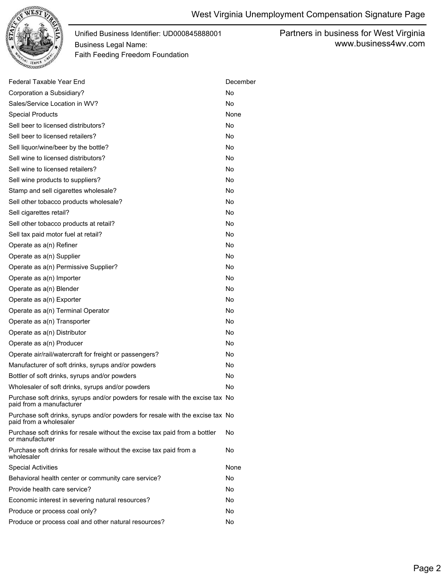

Partners in business for West Virginia www.business4wv.com

| Federal Taxable Year End                                                                                  | December  |
|-----------------------------------------------------------------------------------------------------------|-----------|
| Corporation a Subsidiary?                                                                                 | <b>No</b> |
| Sales/Service Location in WV?                                                                             | <b>No</b> |
| <b>Special Products</b>                                                                                   | None      |
| Sell beer to licensed distributors?                                                                       | <b>No</b> |
| Sell beer to licensed retailers?                                                                          | <b>No</b> |
| Sell liquor/wine/beer by the bottle?                                                                      | No        |
| Sell wine to licensed distributors?                                                                       | <b>No</b> |
| Sell wine to licensed retailers?                                                                          | <b>No</b> |
| Sell wine products to suppliers?                                                                          | <b>No</b> |
| Stamp and sell cigarettes wholesale?                                                                      | No        |
| Sell other tobacco products wholesale?                                                                    | <b>No</b> |
| Sell cigarettes retail?                                                                                   | No        |
| Sell other tobacco products at retail?                                                                    | <b>No</b> |
| Sell tax paid motor fuel at retail?                                                                       | No        |
| Operate as a(n) Refiner                                                                                   | <b>No</b> |
| Operate as a(n) Supplier                                                                                  | No        |
| Operate as a(n) Permissive Supplier?                                                                      | <b>No</b> |
| Operate as a(n) Importer                                                                                  | No        |
| Operate as a(n) Blender                                                                                   | <b>No</b> |
| Operate as a(n) Exporter                                                                                  | No        |
| Operate as a(n) Terminal Operator                                                                         | <b>No</b> |
| Operate as a(n) Transporter                                                                               | No        |
| Operate as a(n) Distributor                                                                               | <b>No</b> |
| Operate as a(n) Producer                                                                                  | No        |
| Operate air/rail/watercraft for freight or passengers?                                                    | <b>No</b> |
| Manufacturer of soft drinks, syrups and/or powders                                                        | No        |
| Bottler of soft drinks, syrups and/or powders                                                             | <b>No</b> |
| Wholesaler of soft drinks, syrups and/or powders                                                          | No        |
| Purchase soft drinks, syrups and/or powders for resale with the excise tax No<br>paid from a manufacturer |           |
| Purchase soft drinks, syrups and/or powders for resale with the excise tax No<br>paid from a wholesaler   |           |
| Purchase soft drinks for resale without the excise tax paid from a bottler<br>or manufacturer             | No        |
| Purchase soft drinks for resale without the excise tax paid from a<br>wholesaler                          | No        |
| <b>Special Activities</b>                                                                                 | None      |
| Behavioral health center or community care service?                                                       | No        |
| Provide health care service?                                                                              | No        |
| Economic interest in severing natural resources?                                                          |           |
| Produce or process coal only?                                                                             | No        |
| Produce or process coal and other natural resources?                                                      | No        |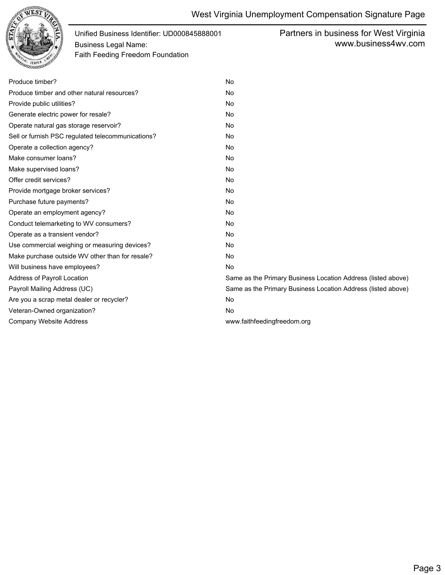

Partners in business for West Virginia www.business4wv.com

| Produce timber?                                   | <b>No</b>                                                    |
|---------------------------------------------------|--------------------------------------------------------------|
| Produce timber and other natural resources?       | <b>No</b>                                                    |
| Provide public utilities?                         | No                                                           |
| Generate electric power for resale?               | No                                                           |
| Operate natural gas storage reservoir?            | No                                                           |
| Sell or furnish PSC regulated telecommunications? | No                                                           |
| Operate a collection agency?                      | No                                                           |
| Make consumer loans?                              | No                                                           |
| Make supervised loans?                            | No                                                           |
| Offer credit services?                            | <b>No</b>                                                    |
| Provide mortgage broker services?                 | <b>No</b>                                                    |
| Purchase future payments?                         | No                                                           |
| Operate an employment agency?                     | No                                                           |
| Conduct telemarketing to WV consumers?            | No                                                           |
| Operate as a transient vendor?                    | No                                                           |
| Use commercial weighing or measuring devices?     | No                                                           |
| Make purchase outside WV other than for resale?   | No                                                           |
| Will business have employees?                     | <b>No</b>                                                    |
| Address of Payroll Location                       | Same as the Primary Business Location Address (listed above) |
| Payroll Mailing Address (UC)                      | Same as the Primary Business Location Address (listed above) |
| Are you a scrap metal dealer or recycler?         | No                                                           |
| Veteran-Owned organization?                       | No                                                           |
| <b>Company Website Address</b>                    | www.faithfeedingfreedom.org                                  |